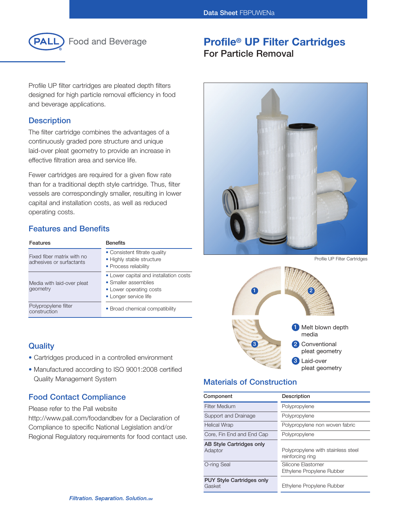

**Food and Beverage** 

Profile UP filter cartridges are pleated depth filters designed for high particle removal efficiency in food and beverage applications.

## **Description**

The filter cartridge combines the advantages of a continuously graded pore structure and unique laid-over pleat geometry to provide an increase in effective filtration area and service life.

Fewer cartridges are required for a given flow rate than for a traditional depth style cartridge. Thus, filter vessels are correspondingly smaller, resulting in lower capital and installation costs, as well as reduced operating costs.

# **Features and Benefits**

| Features                                               | <b>Benefits</b>                                                                                                    |
|--------------------------------------------------------|--------------------------------------------------------------------------------------------------------------------|
| Fixed fiber matrix with no<br>adhesives or surfactants | • Consistent filtrate quality<br>• Highly stable structure<br>• Process reliability                                |
| Media with laid-over pleat<br>geometry                 | • Lower capital and installation costs<br>• Smaller assemblies<br>• Lower operating costs<br>• Longer service life |
| Polypropylene filter<br>construction                   | • Broad chemical compatibility                                                                                     |

## **Quality**

- Cartridges produced in a controlled environment
- Manufactured according to ISO 9001:2008 certified Quality Management System

## **Food Contact Compliance**

Please refer to the Pall website

http://www.pall.com/foodandbev for a Declaration of Compliance to specific National Legislation and/or Regional Regulatory requirements for food contact use.

# **Profile® UP Filter Cartridges**

# **For Particle Removal**



Profile UP Filter Cartridges



# **Materials of Construction**

| Component                                  | Description                                            |
|--------------------------------------------|--------------------------------------------------------|
| <b>Filter Medium</b>                       | Polypropylene                                          |
| Support and Drainage                       | Polypropylene                                          |
| <b>Helical Wrap</b>                        | Polypropylene non woven fabric                         |
| Core, Fin End and End Cap                  | Polypropylene                                          |
| AB Style Cartridges only<br>Adaptor        | Polypropylene with stainless steel<br>reinforcing ring |
| O-ring Seal                                | Silicone Elastomer<br>Ethylene Propylene Rubber        |
| <b>PUY Style Cartridges only</b><br>Gasket | Ethylene Propylene Rubber                              |